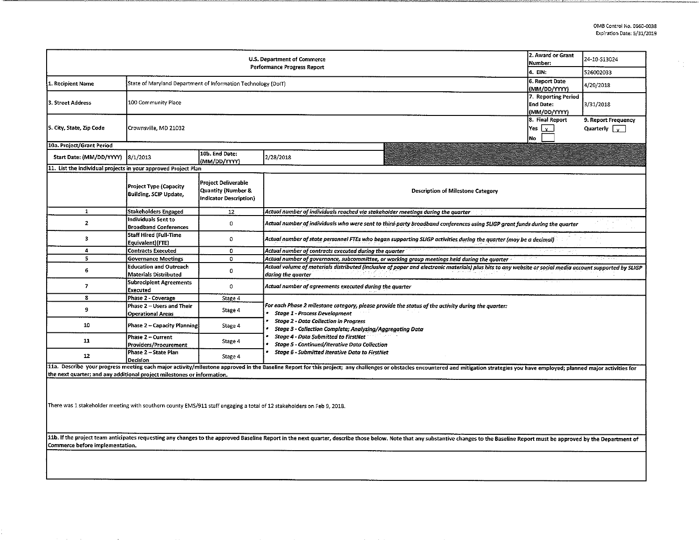$\frac{1}{\sqrt{2}}\frac{1}{\sqrt{2}}$ 

| U.S. Department of Commerce<br>Performance Progress Report                                                                                                                                                                     |                                                                                                                                                                                                                                                                                                                                                                 |                                                                                       |                                                                                                                                                                                                                                                                |  | 24-10-S13024 |  |  |  |  |  |  |
|--------------------------------------------------------------------------------------------------------------------------------------------------------------------------------------------------------------------------------|-----------------------------------------------------------------------------------------------------------------------------------------------------------------------------------------------------------------------------------------------------------------------------------------------------------------------------------------------------------------|---------------------------------------------------------------------------------------|----------------------------------------------------------------------------------------------------------------------------------------------------------------------------------------------------------------------------------------------------------------|--|--------------|--|--|--|--|--|--|
|                                                                                                                                                                                                                                | 4. EIN.                                                                                                                                                                                                                                                                                                                                                         | 526002033                                                                             |                                                                                                                                                                                                                                                                |  |              |  |  |  |  |  |  |
| 1. Recipient Name                                                                                                                                                                                                              | State of Maryland Department of Information Technology (DoIT)                                                                                                                                                                                                                                                                                                   | 6. Report Date<br>(MM/DD/YYYY)                                                        | 4/20/2018                                                                                                                                                                                                                                                      |  |              |  |  |  |  |  |  |
| 3. Street Address                                                                                                                                                                                                              | 100 Community Place                                                                                                                                                                                                                                                                                                                                             | 7. Reporting Period<br>End Date:<br>(MM/DD/YYYY)                                      | 3/31/2018                                                                                                                                                                                                                                                      |  |              |  |  |  |  |  |  |
| 5. City, State, Zip Code                                                                                                                                                                                                       | Crownsville, MD 21032                                                                                                                                                                                                                                                                                                                                           | 8. Final Report<br>lYes  <br>l x -<br>No.                                             | 9. Report Frequency<br>Quarterly $\sqrt{ }$                                                                                                                                                                                                                    |  |              |  |  |  |  |  |  |
| 10a. Project/Grant Period                                                                                                                                                                                                      |                                                                                                                                                                                                                                                                                                                                                                 |                                                                                       |                                                                                                                                                                                                                                                                |  |              |  |  |  |  |  |  |
| Start Date: (MM/DD/YYYY)                                                                                                                                                                                                       | 8/1/2013                                                                                                                                                                                                                                                                                                                                                        | 10b. End Date:<br>(MM/DD/YYYY)                                                        | 2/28/2018                                                                                                                                                                                                                                                      |  |              |  |  |  |  |  |  |
| 11. List the individual projects in your approved Project Plan                                                                                                                                                                 |                                                                                                                                                                                                                                                                                                                                                                 |                                                                                       |                                                                                                                                                                                                                                                                |  |              |  |  |  |  |  |  |
|                                                                                                                                                                                                                                | <b>Project Type (Capacity</b><br><b>Building, SCIP Update,</b>                                                                                                                                                                                                                                                                                                  | <b>Project Deliverable</b><br><b>Quantity (Number &amp;</b><br>Indicator Description) | <b>Description of Milestone Category</b>                                                                                                                                                                                                                       |  |              |  |  |  |  |  |  |
| $\mathbf{1}$                                                                                                                                                                                                                   | <b>Stakeholders Engaged</b>                                                                                                                                                                                                                                                                                                                                     | 12                                                                                    | Actual number of individuals reached via stakeholder meetings during the quarter                                                                                                                                                                               |  |              |  |  |  |  |  |  |
| $\mathbf{2}$                                                                                                                                                                                                                   | Individuals Sent to<br><b>Broadband Conferences</b>                                                                                                                                                                                                                                                                                                             | $\mathbf{0}$                                                                          | Actual number of individuals who were sent to third-party broadband conferences using SLIGP grant funds during the quarter                                                                                                                                     |  |              |  |  |  |  |  |  |
| 3                                                                                                                                                                                                                              | Staff Hired (Full-Time<br>$\mathbf{0}$<br>Actual number of state personnel FTEs who began supporting SLIGP activities during the quarter (may be a decimal)<br>Equivalent)(FTE)                                                                                                                                                                                 |                                                                                       |                                                                                                                                                                                                                                                                |  |              |  |  |  |  |  |  |
| 4                                                                                                                                                                                                                              | <b>Contracts Executed</b><br>0<br>Actual number of contracts executed during the quarter                                                                                                                                                                                                                                                                        |                                                                                       |                                                                                                                                                                                                                                                                |  |              |  |  |  |  |  |  |
| 5                                                                                                                                                                                                                              | <b>Governance Meetings</b>                                                                                                                                                                                                                                                                                                                                      |                                                                                       |                                                                                                                                                                                                                                                                |  |              |  |  |  |  |  |  |
| 6                                                                                                                                                                                                                              | Actual number of governance, subcommittee, or working group meetings held during the quarter<br><b>Education and Outreach</b><br>Actual volume of materials distributed (inclusive of paper and electronic materials) plus hits to any website or social media account supported by SLIGP<br>$\mathbf{0}$<br><b>Materials Distributed</b><br>during the quarter |                                                                                       |                                                                                                                                                                                                                                                                |  |              |  |  |  |  |  |  |
| $\mathbf{7}$                                                                                                                                                                                                                   | <b>Subrecipient Agreements</b><br>$\circ$<br>Actual number of agreements executed during the quarter<br>Executed                                                                                                                                                                                                                                                |                                                                                       |                                                                                                                                                                                                                                                                |  |              |  |  |  |  |  |  |
| 8                                                                                                                                                                                                                              | Phase 2 - Coverage                                                                                                                                                                                                                                                                                                                                              | Stage 4                                                                               |                                                                                                                                                                                                                                                                |  |              |  |  |  |  |  |  |
| 9                                                                                                                                                                                                                              | Phase 2 – Users and Their<br><b>Operational Areas</b>                                                                                                                                                                                                                                                                                                           | Stage 4                                                                               | For each Phase 2 milestone category, please provide the status of the activity during the quarter:<br><b>Stage 1 - Process Development</b><br><b>Stage 2 - Data Collection in Progress</b><br><b>Stage 3 - Collection Complete; Analyzing/Aggregating Data</b> |  |              |  |  |  |  |  |  |
| 10                                                                                                                                                                                                                             | <b>Phase 2 - Capacity Planning</b>                                                                                                                                                                                                                                                                                                                              | Stage 4                                                                               |                                                                                                                                                                                                                                                                |  |              |  |  |  |  |  |  |
| 11                                                                                                                                                                                                                             | Phase 2 – Current<br>Providers/Procurement                                                                                                                                                                                                                                                                                                                      | Stage 4                                                                               | <b>Stage 4 - Data Submitted to FirstNet</b><br><b>Stage 5 - Continued/Iterative Data Collection</b><br>Stage 6 - Submitted Iterative Data to FirstNet                                                                                                          |  |              |  |  |  |  |  |  |
| 12                                                                                                                                                                                                                             | Phase 2 – State Plan<br>Decision                                                                                                                                                                                                                                                                                                                                | Stage 4                                                                               |                                                                                                                                                                                                                                                                |  |              |  |  |  |  |  |  |
|                                                                                                                                                                                                                                |                                                                                                                                                                                                                                                                                                                                                                 |                                                                                       | 11a. Describe your progress meeting each major activity/milestone approved in the Baseline Report for this project; any challenges or obstacles encountered and mitigation strategies you have employed; planned major activit                                 |  |              |  |  |  |  |  |  |
| the next quarter; and any additional project milestones or information.                                                                                                                                                        |                                                                                                                                                                                                                                                                                                                                                                 |                                                                                       |                                                                                                                                                                                                                                                                |  |              |  |  |  |  |  |  |
| There was 1 stakeholder meeting with southern county EMS/911 staff engaging a total of 12 stakeholders on Feb 9, 2018.                                                                                                         |                                                                                                                                                                                                                                                                                                                                                                 |                                                                                       |                                                                                                                                                                                                                                                                |  |              |  |  |  |  |  |  |
| 11b. If the project team anticipates requesting any changes to the approved Baseline Report in the next quarter, describe those below. Note that any substantive changes to the Baseline Report must be approved by the Depart |                                                                                                                                                                                                                                                                                                                                                                 |                                                                                       |                                                                                                                                                                                                                                                                |  |              |  |  |  |  |  |  |
| Commerce before implementation.                                                                                                                                                                                                |                                                                                                                                                                                                                                                                                                                                                                 |                                                                                       |                                                                                                                                                                                                                                                                |  |              |  |  |  |  |  |  |

---------------------------------------------------------------.%~~''"-"-'""'''L"C~C..L,LC•-~-,,----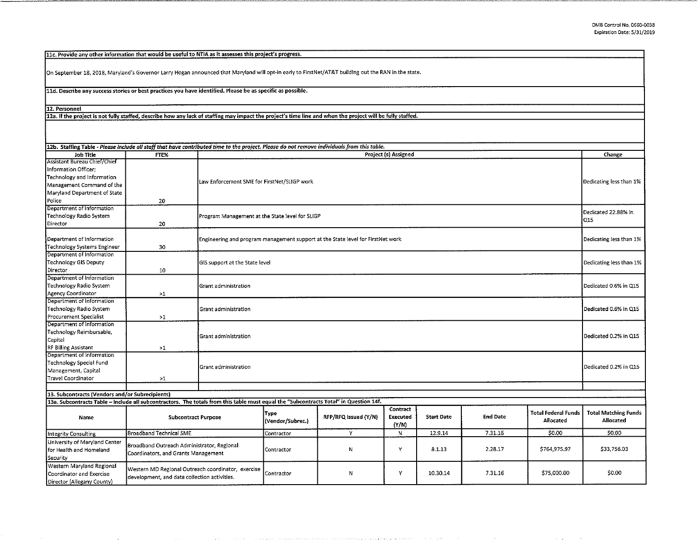11c. Provide any other information that would be useful to NTIA as it assesses this project's progress.

On September 18, 2018, Maryland's Governor Larry Hogan announced that Maryland will opt-in early to FirstNet/AT& T building out the RAN in the state.

11d. Describe any success stories or best practices you have identified. Please be as specific as possible.

12. Personnel

12a. If the project is not fully staffed, describe how any lack of staffing may impact the project's time line and when the project will be fully staffed.

| <b>Job Title</b>                                                                                                                                                                         | FTE%                                                                                               | 12b. Staffing Table - Please include all staff that have contributed time to the project. Please do not remove individuals from this table.<br>Project (s) Assigned |                                                                                                            |                      |                                      |                   |                 |                                         | Change                                          |  |
|------------------------------------------------------------------------------------------------------------------------------------------------------------------------------------------|----------------------------------------------------------------------------------------------------|---------------------------------------------------------------------------------------------------------------------------------------------------------------------|------------------------------------------------------------------------------------------------------------|----------------------|--------------------------------------|-------------------|-----------------|-----------------------------------------|-------------------------------------------------|--|
| Assistant Bureau Chief/Chief<br>Information Officer;<br>Technology and Information<br>Management Command of the<br>Maryland Department of State<br>Police                                | 20                                                                                                 | Law Enforcement SME for FirstNet/SLIGP work                                                                                                                         |                                                                                                            |                      |                                      |                   |                 |                                         | Dedicating less than 1%                         |  |
| Department of Information<br><b>Technology Radio System</b><br>Director                                                                                                                  | 20                                                                                                 |                                                                                                                                                                     | Dedicated 22.88% in<br>Program Management at the State level for SLIGP<br>O <sub>15</sub>                  |                      |                                      |                   |                 |                                         |                                                 |  |
| Department of Information<br>Technology Systems Engineer                                                                                                                                 | 30                                                                                                 |                                                                                                                                                                     | Engineering and program management support at the State level for FirstNet work<br>Dedicating less than 1% |                      |                                      |                   |                 |                                         |                                                 |  |
| Department of Information<br><b>Technology GIS Deputy</b><br>Director                                                                                                                    | 10                                                                                                 |                                                                                                                                                                     | GIS support at the State level<br>Dedicating less than 1%                                                  |                      |                                      |                   |                 |                                         |                                                 |  |
| Department of Information<br>Technology Radio System<br>Agency Coordinator                                                                                                               | >1                                                                                                 | Grant administration                                                                                                                                                |                                                                                                            |                      |                                      |                   |                 |                                         | Dedicated 0.6% in Q15                           |  |
| Department of Information<br>Technology Radio System<br>Procurement Specialist                                                                                                           | >1                                                                                                 | Grant administration                                                                                                                                                |                                                                                                            |                      |                                      |                   |                 |                                         |                                                 |  |
| Department of Information<br>Technology Reimbursable,<br>Capital<br>RF Billing Assistant                                                                                                 | >1                                                                                                 | Dedicated 0.2% in Q15<br>Grant administration                                                                                                                       |                                                                                                            |                      |                                      |                   |                 |                                         |                                                 |  |
| Department of Information<br>Technology Special Fund<br>Management, Capital<br>Travel Coordinator                                                                                        | $\geq 1$                                                                                           | Dedicated 0.2% in Q15<br>Grant administration                                                                                                                       |                                                                                                            |                      |                                      |                   |                 |                                         |                                                 |  |
|                                                                                                                                                                                          |                                                                                                    |                                                                                                                                                                     |                                                                                                            |                      |                                      |                   |                 |                                         |                                                 |  |
| 13. Subcontracts (Vendors and/or Subrecipients)<br>13a. Subcontracts Table - Include all subcontractors. The totals from this table must equal the "Subcontracts Total" in Question 14f. |                                                                                                    |                                                                                                                                                                     |                                                                                                            |                      |                                      |                   |                 |                                         |                                                 |  |
| Name                                                                                                                                                                                     | <b>Subcontract Purpose</b>                                                                         |                                                                                                                                                                     | <b>Type</b><br>(Vendor/Subrec.)                                                                            | RFP/RFQ Issued (Y/N) | Contract<br><b>Executed</b><br>(Y/N) | <b>Start Date</b> | <b>End Date</b> | <b>Total Federal Funds</b><br>Allocated | <b>Total Matching Funds</b><br><b>Allocated</b> |  |
| Integrity Consulting                                                                                                                                                                     | <b>Broadband Technical SME</b>                                                                     |                                                                                                                                                                     | Contractor                                                                                                 | Y                    | N                                    | 12.9.14           | 7.31.16         | \$0.00                                  | \$0.00                                          |  |
| University of Maryland Center<br>for Health and Homeland<br>Security                                                                                                                     | Broadband Outreach Administrator, Regional<br>Coordinators, and Grants Management                  |                                                                                                                                                                     | Contractor                                                                                                 | И                    | Υ                                    | 8.1.13            | 2.28.17         | \$764,975.97                            | \$33 756.03                                     |  |
| Western Maryland Regional<br>Coordinator and Exercise<br>Director (Allegany County)                                                                                                      | Western MD Regional Outreach coordinator, exercise<br>development, and data collection activities. |                                                                                                                                                                     | Contractor                                                                                                 | Ν                    | Y                                    | 10.30.14          | 7.31.16         | \$75,000.00                             | \$0.00                                          |  |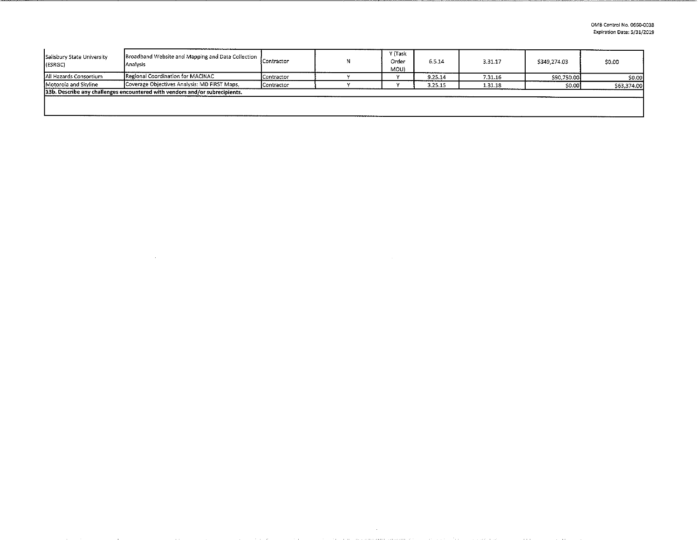| Anaivsis                                                                    |            |                                                                                 | Y (Task<br>Order<br>MOU) | 6.5.14  | 3.31.17 | \$349,274.03 | \$0.00      |  |  |
|-----------------------------------------------------------------------------|------------|---------------------------------------------------------------------------------|--------------------------|---------|---------|--------------|-------------|--|--|
| Regional Coordination for MACINAC                                           | Contractor |                                                                                 |                          | 9.25.14 | 7.31.16 | \$90,750.00  | \$0.00      |  |  |
| Coverage Objectives Analysis: MD FIRST Maps.<br>Motorola and Skyline        |            |                                                                                 |                          | 3.25.15 | 1.31.18 |              | \$63,374.00 |  |  |
| 13b. Describe any challenges encountered with vendors and/or subrecipients. |            |                                                                                 |                          |         |         |              |             |  |  |
|                                                                             |            |                                                                                 |                          |         |         |              |             |  |  |
|                                                                             |            |                                                                                 |                          |         |         |              |             |  |  |
|                                                                             |            | Broadband Website and Mapping and Data Collection  <br>Contractor<br>Contractor |                          |         |         |              | \$0.00      |  |  |